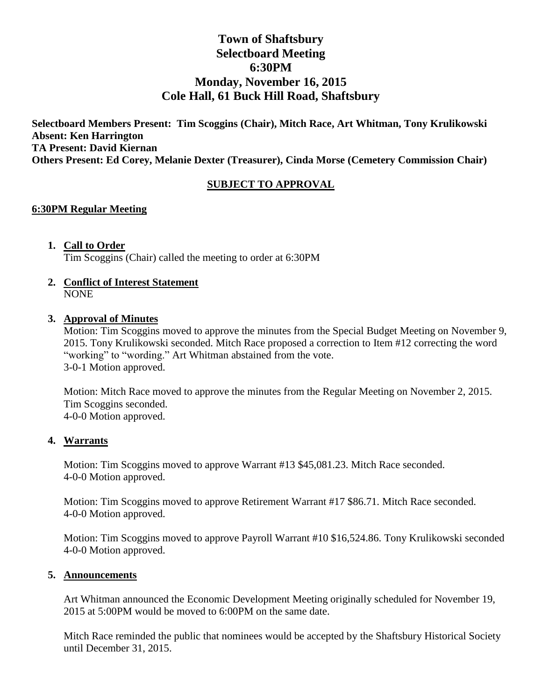# **Town of Shaftsbury Selectboard Meeting 6:30PM Monday, November 16, 2015 Cole Hall, 61 Buck Hill Road, Shaftsbury**

**Selectboard Members Present: Tim Scoggins (Chair), Mitch Race, Art Whitman, Tony Krulikowski Absent: Ken Harrington TA Present: David Kiernan Others Present: Ed Corey, Melanie Dexter (Treasurer), Cinda Morse (Cemetery Commission Chair)**

## **SUBJECT TO APPROVAL**

#### **6:30PM Regular Meeting**

### **1. Call to Order**

Tim Scoggins (Chair) called the meeting to order at 6:30PM

**2. Conflict of Interest Statement** NONE

#### **3. Approval of Minutes**

Motion: Tim Scoggins moved to approve the minutes from the Special Budget Meeting on November 9, 2015. Tony Krulikowski seconded. Mitch Race proposed a correction to Item #12 correcting the word "working" to "wording." Art Whitman abstained from the vote. 3-0-1 Motion approved.

Motion: Mitch Race moved to approve the minutes from the Regular Meeting on November 2, 2015. Tim Scoggins seconded. 4-0-0 Motion approved.

#### **4. Warrants**

Motion: Tim Scoggins moved to approve Warrant #13 \$45,081.23. Mitch Race seconded. 4-0-0 Motion approved.

Motion: Tim Scoggins moved to approve Retirement Warrant #17 \$86.71. Mitch Race seconded. 4-0-0 Motion approved.

Motion: Tim Scoggins moved to approve Payroll Warrant #10 \$16,524.86. Tony Krulikowski seconded 4-0-0 Motion approved.

#### **5. Announcements**

Art Whitman announced the Economic Development Meeting originally scheduled for November 19, 2015 at 5:00PM would be moved to 6:00PM on the same date.

Mitch Race reminded the public that nominees would be accepted by the Shaftsbury Historical Society until December 31, 2015.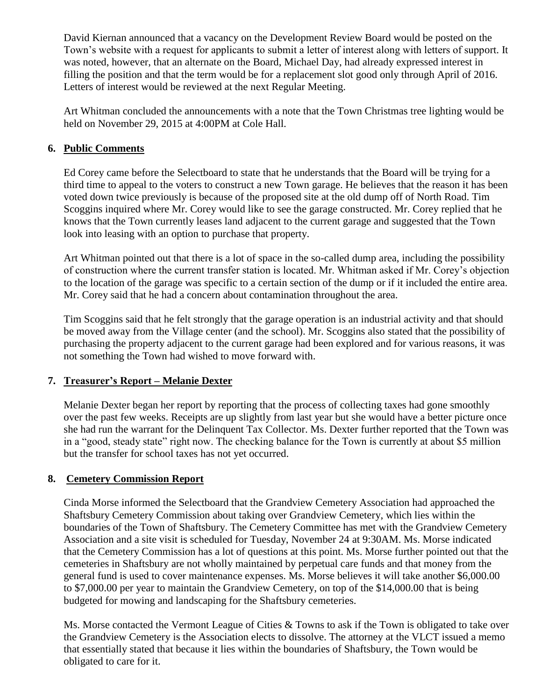David Kiernan announced that a vacancy on the Development Review Board would be posted on the Town's website with a request for applicants to submit a letter of interest along with letters of support. It was noted, however, that an alternate on the Board, Michael Day, had already expressed interest in filling the position and that the term would be for a replacement slot good only through April of 2016. Letters of interest would be reviewed at the next Regular Meeting.

Art Whitman concluded the announcements with a note that the Town Christmas tree lighting would be held on November 29, 2015 at 4:00PM at Cole Hall.

### **6. Public Comments**

Ed Corey came before the Selectboard to state that he understands that the Board will be trying for a third time to appeal to the voters to construct a new Town garage. He believes that the reason it has been voted down twice previously is because of the proposed site at the old dump off of North Road. Tim Scoggins inquired where Mr. Corey would like to see the garage constructed. Mr. Corey replied that he knows that the Town currently leases land adjacent to the current garage and suggested that the Town look into leasing with an option to purchase that property.

Art Whitman pointed out that there is a lot of space in the so-called dump area, including the possibility of construction where the current transfer station is located. Mr. Whitman asked if Mr. Corey's objection to the location of the garage was specific to a certain section of the dump or if it included the entire area. Mr. Corey said that he had a concern about contamination throughout the area.

Tim Scoggins said that he felt strongly that the garage operation is an industrial activity and that should be moved away from the Village center (and the school). Mr. Scoggins also stated that the possibility of purchasing the property adjacent to the current garage had been explored and for various reasons, it was not something the Town had wished to move forward with.

#### **7. Treasurer's Report – Melanie Dexter**

Melanie Dexter began her report by reporting that the process of collecting taxes had gone smoothly over the past few weeks. Receipts are up slightly from last year but she would have a better picture once she had run the warrant for the Delinquent Tax Collector. Ms. Dexter further reported that the Town was in a "good, steady state" right now. The checking balance for the Town is currently at about \$5 million but the transfer for school taxes has not yet occurred.

#### **8. Cemetery Commission Report**

Cinda Morse informed the Selectboard that the Grandview Cemetery Association had approached the Shaftsbury Cemetery Commission about taking over Grandview Cemetery, which lies within the boundaries of the Town of Shaftsbury. The Cemetery Committee has met with the Grandview Cemetery Association and a site visit is scheduled for Tuesday, November 24 at 9:30AM. Ms. Morse indicated that the Cemetery Commission has a lot of questions at this point. Ms. Morse further pointed out that the cemeteries in Shaftsbury are not wholly maintained by perpetual care funds and that money from the general fund is used to cover maintenance expenses. Ms. Morse believes it will take another \$6,000.00 to \$7,000.00 per year to maintain the Grandview Cemetery, on top of the \$14,000.00 that is being budgeted for mowing and landscaping for the Shaftsbury cemeteries.

Ms. Morse contacted the Vermont League of Cities & Towns to ask if the Town is obligated to take over the Grandview Cemetery is the Association elects to dissolve. The attorney at the VLCT issued a memo that essentially stated that because it lies within the boundaries of Shaftsbury, the Town would be obligated to care for it.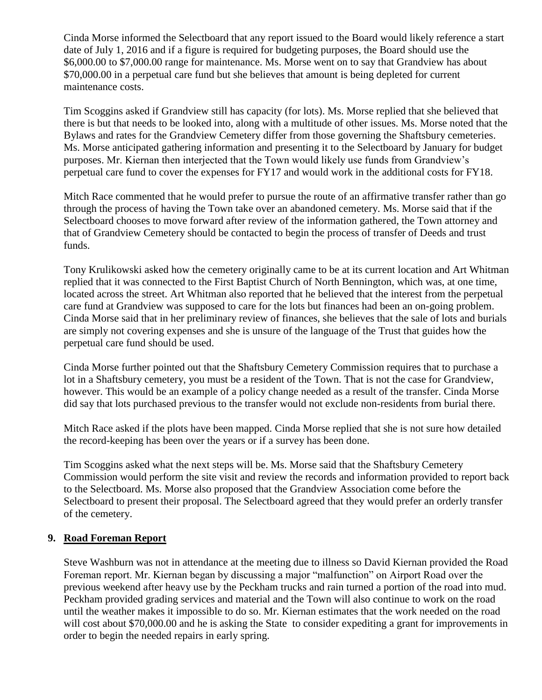Cinda Morse informed the Selectboard that any report issued to the Board would likely reference a start date of July 1, 2016 and if a figure is required for budgeting purposes, the Board should use the \$6,000.00 to \$7,000.00 range for maintenance. Ms. Morse went on to say that Grandview has about \$70,000.00 in a perpetual care fund but she believes that amount is being depleted for current maintenance costs.

Tim Scoggins asked if Grandview still has capacity (for lots). Ms. Morse replied that she believed that there is but that needs to be looked into, along with a multitude of other issues. Ms. Morse noted that the Bylaws and rates for the Grandview Cemetery differ from those governing the Shaftsbury cemeteries. Ms. Morse anticipated gathering information and presenting it to the Selectboard by January for budget purposes. Mr. Kiernan then interjected that the Town would likely use funds from Grandview's perpetual care fund to cover the expenses for FY17 and would work in the additional costs for FY18.

Mitch Race commented that he would prefer to pursue the route of an affirmative transfer rather than go through the process of having the Town take over an abandoned cemetery. Ms. Morse said that if the Selectboard chooses to move forward after review of the information gathered, the Town attorney and that of Grandview Cemetery should be contacted to begin the process of transfer of Deeds and trust funds.

Tony Krulikowski asked how the cemetery originally came to be at its current location and Art Whitman replied that it was connected to the First Baptist Church of North Bennington, which was, at one time, located across the street. Art Whitman also reported that he believed that the interest from the perpetual care fund at Grandview was supposed to care for the lots but finances had been an on-going problem. Cinda Morse said that in her preliminary review of finances, she believes that the sale of lots and burials are simply not covering expenses and she is unsure of the language of the Trust that guides how the perpetual care fund should be used.

Cinda Morse further pointed out that the Shaftsbury Cemetery Commission requires that to purchase a lot in a Shaftsbury cemetery, you must be a resident of the Town. That is not the case for Grandview, however. This would be an example of a policy change needed as a result of the transfer. Cinda Morse did say that lots purchased previous to the transfer would not exclude non-residents from burial there.

Mitch Race asked if the plots have been mapped. Cinda Morse replied that she is not sure how detailed the record-keeping has been over the years or if a survey has been done.

Tim Scoggins asked what the next steps will be. Ms. Morse said that the Shaftsbury Cemetery Commission would perform the site visit and review the records and information provided to report back to the Selectboard. Ms. Morse also proposed that the Grandview Association come before the Selectboard to present their proposal. The Selectboard agreed that they would prefer an orderly transfer of the cemetery.

#### **9. Road Foreman Report**

Steve Washburn was not in attendance at the meeting due to illness so David Kiernan provided the Road Foreman report. Mr. Kiernan began by discussing a major "malfunction" on Airport Road over the previous weekend after heavy use by the Peckham trucks and rain turned a portion of the road into mud. Peckham provided grading services and material and the Town will also continue to work on the road until the weather makes it impossible to do so. Mr. Kiernan estimates that the work needed on the road will cost about \$70,000.00 and he is asking the State to consider expediting a grant for improvements in order to begin the needed repairs in early spring.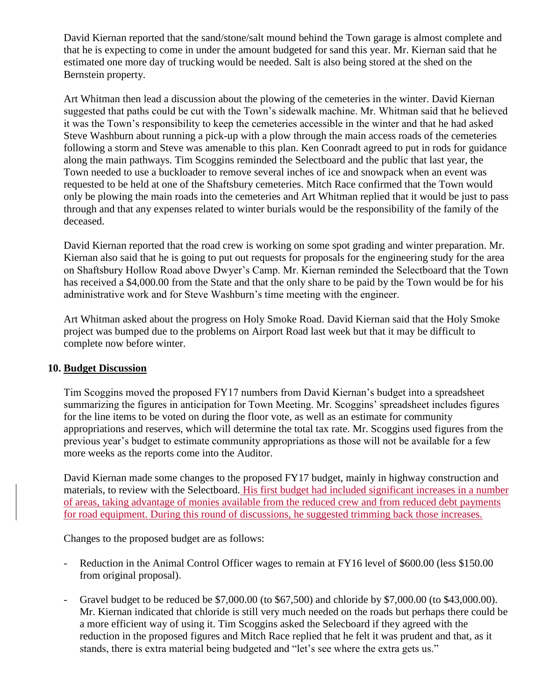David Kiernan reported that the sand/stone/salt mound behind the Town garage is almost complete and that he is expecting to come in under the amount budgeted for sand this year. Mr. Kiernan said that he estimated one more day of trucking would be needed. Salt is also being stored at the shed on the Bernstein property.

Art Whitman then lead a discussion about the plowing of the cemeteries in the winter. David Kiernan suggested that paths could be cut with the Town's sidewalk machine. Mr. Whitman said that he believed it was the Town's responsibility to keep the cemeteries accessible in the winter and that he had asked Steve Washburn about running a pick-up with a plow through the main access roads of the cemeteries following a storm and Steve was amenable to this plan. Ken Coonradt agreed to put in rods for guidance along the main pathways. Tim Scoggins reminded the Selectboard and the public that last year, the Town needed to use a buckloader to remove several inches of ice and snowpack when an event was requested to be held at one of the Shaftsbury cemeteries. Mitch Race confirmed that the Town would only be plowing the main roads into the cemeteries and Art Whitman replied that it would be just to pass through and that any expenses related to winter burials would be the responsibility of the family of the deceased.

David Kiernan reported that the road crew is working on some spot grading and winter preparation. Mr. Kiernan also said that he is going to put out requests for proposals for the engineering study for the area on Shaftsbury Hollow Road above Dwyer's Camp. Mr. Kiernan reminded the Selectboard that the Town has received a \$4,000.00 from the State and that the only share to be paid by the Town would be for his administrative work and for Steve Washburn's time meeting with the engineer.

Art Whitman asked about the progress on Holy Smoke Road. David Kiernan said that the Holy Smoke project was bumped due to the problems on Airport Road last week but that it may be difficult to complete now before winter.

#### **10. Budget Discussion**

Tim Scoggins moved the proposed FY17 numbers from David Kiernan's budget into a spreadsheet summarizing the figures in anticipation for Town Meeting. Mr. Scoggins' spreadsheet includes figures for the line items to be voted on during the floor vote, as well as an estimate for community appropriations and reserves, which will determine the total tax rate. Mr. Scoggins used figures from the previous year's budget to estimate community appropriations as those will not be available for a few more weeks as the reports come into the Auditor.

David Kiernan made some changes to the proposed FY17 budget, mainly in highway construction and materials, to review with the Selectboard. His first budget had included significant increases in a number of areas, taking advantage of monies available from the reduced crew and from reduced debt payments for road equipment. During this round of discussions, he suggested trimming back those increases.

Changes to the proposed budget are as follows:

- Reduction in the Animal Control Officer wages to remain at FY16 level of \$600.00 (less \$150.00) from original proposal).
- Gravel budget to be reduced be \$7,000.00 (to \$67,500) and chloride by \$7,000.00 (to \$43,000.00). Mr. Kiernan indicated that chloride is still very much needed on the roads but perhaps there could be a more efficient way of using it. Tim Scoggins asked the Selecboard if they agreed with the reduction in the proposed figures and Mitch Race replied that he felt it was prudent and that, as it stands, there is extra material being budgeted and "let's see where the extra gets us."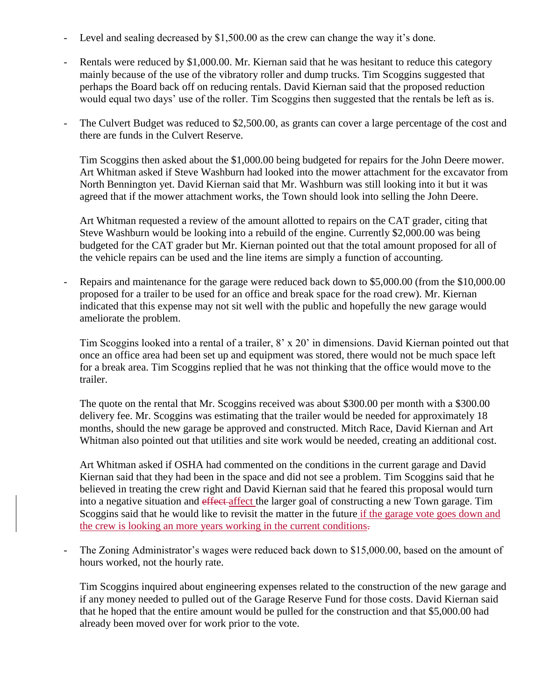- Level and sealing decreased by \$1,500.00 as the crew can change the way it's done.
- Rentals were reduced by \$1,000.00. Mr. Kiernan said that he was hesitant to reduce this category mainly because of the use of the vibratory roller and dump trucks. Tim Scoggins suggested that perhaps the Board back off on reducing rentals. David Kiernan said that the proposed reduction would equal two days' use of the roller. Tim Scoggins then suggested that the rentals be left as is.
- The Culvert Budget was reduced to \$2,500.00, as grants can cover a large percentage of the cost and there are funds in the Culvert Reserve.

Tim Scoggins then asked about the \$1,000.00 being budgeted for repairs for the John Deere mower. Art Whitman asked if Steve Washburn had looked into the mower attachment for the excavator from North Bennington yet. David Kiernan said that Mr. Washburn was still looking into it but it was agreed that if the mower attachment works, the Town should look into selling the John Deere.

Art Whitman requested a review of the amount allotted to repairs on the CAT grader, citing that Steve Washburn would be looking into a rebuild of the engine. Currently \$2,000.00 was being budgeted for the CAT grader but Mr. Kiernan pointed out that the total amount proposed for all of the vehicle repairs can be used and the line items are simply a function of accounting.

Repairs and maintenance for the garage were reduced back down to \$5,000.00 (from the \$10,000.00 proposed for a trailer to be used for an office and break space for the road crew). Mr. Kiernan indicated that this expense may not sit well with the public and hopefully the new garage would ameliorate the problem.

Tim Scoggins looked into a rental of a trailer, 8' x 20' in dimensions. David Kiernan pointed out that once an office area had been set up and equipment was stored, there would not be much space left for a break area. Tim Scoggins replied that he was not thinking that the office would move to the trailer.

The quote on the rental that Mr. Scoggins received was about \$300.00 per month with a \$300.00 delivery fee. Mr. Scoggins was estimating that the trailer would be needed for approximately 18 months, should the new garage be approved and constructed. Mitch Race, David Kiernan and Art Whitman also pointed out that utilities and site work would be needed, creating an additional cost.

Art Whitman asked if OSHA had commented on the conditions in the current garage and David Kiernan said that they had been in the space and did not see a problem. Tim Scoggins said that he believed in treating the crew right and David Kiernan said that he feared this proposal would turn into a negative situation and effect-affect the larger goal of constructing a new Town garage. Tim Scoggins said that he would like to revisit the matter in the future if the garage vote goes down and the crew is looking an more years working in the current conditions.

The Zoning Administrator's wages were reduced back down to \$15,000.00, based on the amount of hours worked, not the hourly rate.

Tim Scoggins inquired about engineering expenses related to the construction of the new garage and if any money needed to pulled out of the Garage Reserve Fund for those costs. David Kiernan said that he hoped that the entire amount would be pulled for the construction and that \$5,000.00 had already been moved over for work prior to the vote.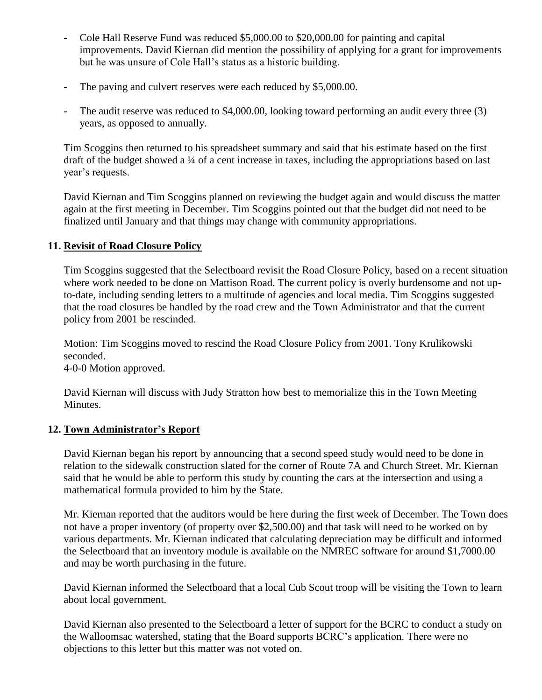- Cole Hall Reserve Fund was reduced \$5,000.00 to \$20,000.00 for painting and capital improvements. David Kiernan did mention the possibility of applying for a grant for improvements but he was unsure of Cole Hall's status as a historic building.
- The paving and culvert reserves were each reduced by \$5,000.00.
- The audit reserve was reduced to \$4,000.00, looking toward performing an audit every three (3) years, as opposed to annually.

Tim Scoggins then returned to his spreadsheet summary and said that his estimate based on the first draft of the budget showed a ¼ of a cent increase in taxes, including the appropriations based on last year's requests.

David Kiernan and Tim Scoggins planned on reviewing the budget again and would discuss the matter again at the first meeting in December. Tim Scoggins pointed out that the budget did not need to be finalized until January and that things may change with community appropriations.

### **11. Revisit of Road Closure Policy**

Tim Scoggins suggested that the Selectboard revisit the Road Closure Policy, based on a recent situation where work needed to be done on Mattison Road. The current policy is overly burdensome and not upto-date, including sending letters to a multitude of agencies and local media. Tim Scoggins suggested that the road closures be handled by the road crew and the Town Administrator and that the current policy from 2001 be rescinded.

Motion: Tim Scoggins moved to rescind the Road Closure Policy from 2001. Tony Krulikowski seconded.

4-0-0 Motion approved.

David Kiernan will discuss with Judy Stratton how best to memorialize this in the Town Meeting Minutes.

#### **12. Town Administrator's Report**

David Kiernan began his report by announcing that a second speed study would need to be done in relation to the sidewalk construction slated for the corner of Route 7A and Church Street. Mr. Kiernan said that he would be able to perform this study by counting the cars at the intersection and using a mathematical formula provided to him by the State.

Mr. Kiernan reported that the auditors would be here during the first week of December. The Town does not have a proper inventory (of property over \$2,500.00) and that task will need to be worked on by various departments. Mr. Kiernan indicated that calculating depreciation may be difficult and informed the Selectboard that an inventory module is available on the NMREC software for around \$1,7000.00 and may be worth purchasing in the future.

David Kiernan informed the Selectboard that a local Cub Scout troop will be visiting the Town to learn about local government.

David Kiernan also presented to the Selectboard a letter of support for the BCRC to conduct a study on the Walloomsac watershed, stating that the Board supports BCRC's application. There were no objections to this letter but this matter was not voted on.